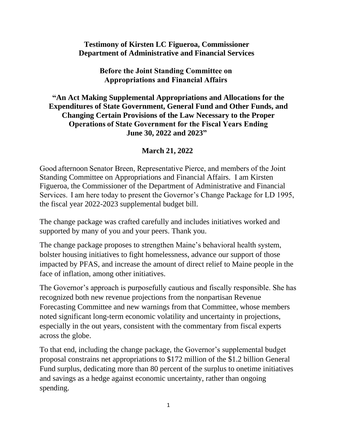### **Testimony of Kirsten LC Figueroa, Commissioner Department of Administrative and Financial Services**

**Before the Joint Standing Committee on  Appropriations and Financial Affairs**

### **"An Act Making Supplemental Appropriations and Allocations for the Expenditures of State Government, General Fund and Other Funds, and Changing Certain Provisions of the Law Necessary to the Proper Operations of State Government for the Fiscal Years Ending June 30, 2022 and 2023"**

### **March 21, 2022**

Good afternoon Senator Breen, Representative Pierce, and members of the Joint Standing Committee on Appropriations and Financial Affairs. I am Kirsten Figueroa, the Commissioner of the Department of Administrative and Financial Services.  I am here today to present the Governor's Change Package for LD 1995, the fiscal year 2022-2023 supplemental budget bill.

The change package was crafted carefully and includes initiatives worked and supported by many of you and your peers. Thank you.

The change package proposes to strengthen Maine's behavioral health system, bolster housing initiatives to fight homelessness, advance our support of those impacted by PFAS, and increase the amount of direct relief to Maine people in the face of inflation, among other initiatives.

The Governor's approach is purposefully cautious and fiscally responsible. She has recognized both new revenue projections from the nonpartisan Revenue Forecasting Committee and new warnings from that Committee, whose members noted significant long-term economic volatility and uncertainty in projections, especially in the out years, consistent with the commentary from fiscal experts across the globe.

To that end, including the change package, the Governor's supplemental budget proposal constrains net appropriations to \$172 million of the \$1.2 billion General Fund surplus, dedicating more than 80 percent of the surplus to onetime initiatives and savings as a hedge against economic uncertainty, rather than ongoing spending.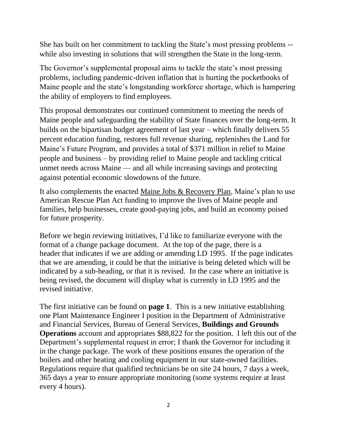She has built on her commitment to tackling the State's most pressing problems - while also investing in solutions that will strengthen the State in the long-term.

The Governor's supplemental proposal aims to tackle the state's most pressing problems, including pandemic-driven inflation that is hurting the pocketbooks of Maine people and the state's longstanding workforce shortage, which is hampering the ability of employers to find employees.

This proposal demonstrates our continued commitment to meeting the needs of Maine people and safeguarding the stability of State finances over the long-term. It builds on the bipartisan budget agreement of last year – which finally delivers 55 percent education funding, restores full revenue sharing, replenishes the Land for Maine's Future Program, and provides a total of \$371 million in relief to Maine people and business – by providing relief to Maine people and tackling critical unmet needs across Maine — and all while increasing savings and protecting against potential economic slowdowns of the future.

It also complements the enacted [Maine Jobs & Recovery Plan,](https://gcc02.safelinks.protection.outlook.com/?url=https%3A%2F%2Fwww.maine.gov%2Fjobsplan%2F&data=04%7C01%7CJennifer.Merrow%40maine.gov%7C69e03a9da3ac49dfa05008da0b49c5be%7C413fa8ab207d4b629bcdea1a8f2f864e%7C0%7C0%7C637834708718120578%7CUnknown%7CTWFpbGZsb3d8eyJWIjoiMC4wLjAwMDAiLCJQIjoiV2luMzIiLCJBTiI6Ik1haWwiLCJXVCI6Mn0%3D%7C3000&sdata=bqcgy0%2BKpMSc29EYOacg2P6n%2BXnHQGp02x4y0EcBhV8%3D&reserved=0) Maine's plan to use American Rescue Plan Act funding to improve the lives of Maine people and families, help businesses, create good-paying jobs, and build an economy poised for future prosperity.

Before we begin reviewing initiatives, I'd like to familiarize everyone with the format of a change package document. At the top of the page, there is a header that indicates if we are adding or amending LD 1995. If the page indicates that we are amending, it could be that the initiative is being deleted which will be indicated by a sub-heading, or that it is revised. In the case where an initiative is being revised, the document will display what is currently in LD 1995 and the revised initiative.

The first initiative can be found on **page 1**. This is a new initiative establishing one Plant Maintenance Engineer I position in the Department of Administrative and Financial Services, Bureau of General Services, **Buildings and Grounds Operations** account and appropriates \$88,822 for the position. I left this out of the Department's supplemental request in error; I thank the Governor for including it in the change package. The work of these positions ensures the operation of the boilers and other heating and cooling equipment in our state-owned facilities. Regulations require that qualified technicians be on site 24 hours, 7 days a week, 365 days a year to ensure appropriate monitoring (some systems require at least every 4 hours).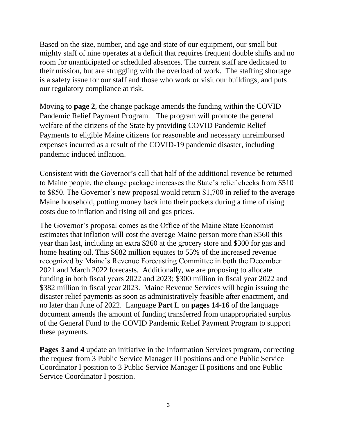Based on the size, number, and age and state of our equipment, our small but mighty staff of nine operates at a deficit that requires frequent double shifts and no room for unanticipated or scheduled absences. The current staff are dedicated to their mission, but are struggling with the overload of work. The staffing shortage is a safety issue for our staff and those who work or visit our buildings, and puts our regulatory compliance at risk.

Moving to **page 2**, the change package amends the funding within the COVID Pandemic Relief Payment Program. The program will promote the general welfare of the citizens of the State by providing COVID Pandemic Relief Payments to eligible Maine citizens for reasonable and necessary unreimbursed expenses incurred as a result of the COVID-19 pandemic disaster, including pandemic induced inflation.

Consistent with the Governor's call that half of the additional revenue be returned to Maine people, the change package increases the State's relief checks from \$510 to \$850. The Governor's new proposal would return \$1,700 in relief to the average Maine household, putting money back into their pockets during a time of rising costs due to inflation and rising oil and gas prices.

The Governor's proposal comes as the Office of the Maine State Economist estimates that inflation will cost the average Maine person more than \$560 this year than last, including an extra \$260 at the grocery store and \$300 for gas and home heating oil. This \$682 million equates to 55% of the increased revenue recognized by Maine's Revenue Forecasting Committee in both the December 2021 and March 2022 forecasts. Additionally, we are proposing to allocate funding in both fiscal years 2022 and 2023; \$300 million in fiscal year 2022 and \$382 million in fiscal year 2023. Maine Revenue Services will begin issuing the disaster relief payments as soon as administratively feasible after enactment, and no later than June of 2022. Language **Part L** on **pages 14-16** of the language document amends the amount of funding transferred from unappropriated surplus of the General Fund to the COVID Pandemic Relief Payment Program to support these payments.

**Pages 3 and 4** update an initiative in the Information Services program, correcting the request from 3 Public Service Manager III positions and one Public Service Coordinator I position to 3 Public Service Manager II positions and one Public Service Coordinator I position.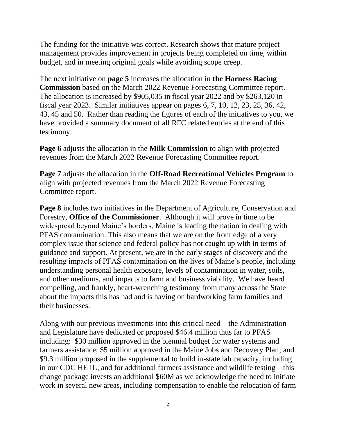The funding for the initiative was correct. Research shows that mature project management provides improvement in projects being completed on time, within budget, and in meeting original goals while avoiding scope creep.

The next initiative on **page 5** increases the allocation in **the Harness Racing Commission** based on the March 2022 Revenue Forecasting Committee report. The allocation is increased by \$905,035 in fiscal year 2022 and by \$263,120 in fiscal year 2023. Similar initiatives appear on pages 6, 7, 10, 12, 23, 25, 36, 42, 43, 45 and 50. Rather than reading the figures of each of the initiatives to you, we have provided a summary document of all RFC related entries at the end of this testimony.

**Page 6** adjusts the allocation in the **Milk Commission** to align with projected revenues from the March 2022 Revenue Forecasting Committee report.

**Page 7** adjusts the allocation in the **Off-Road Recreational Vehicles Program** to align with projected revenues from the March 2022 Revenue Forecasting Committee report.

**Page 8** includes two initiatives in the Department of Agriculture, Conservation and Forestry, **Office of the Commissioner**. Although it will prove in time to be widespread beyond Maine's borders, Maine is leading the nation in dealing with PFAS contamination. This also means that we are on the front edge of a very complex issue that science and federal policy has not caught up with in terms of guidance and support. At present, we are in the early stages of discovery and the resulting impacts of PFAS contamination on the lives of Maine's people, including understanding personal health exposure, levels of contamination in water, soils, and other mediums, and impacts to farm and business viability. We have heard compelling, and frankly, heart-wrenching testimony from many across the State about the impacts this has had and is having on hardworking farm families and their businesses.

Along with our previous investments into this critical need – the Administration and Legislature have dedicated or proposed \$46.4 million thus far to PFAS including: \$30 million approved in the biennial budget for water systems and farmers assistance; \$5 million approved in the Maine Jobs and Recovery Plan; and \$9.3 million proposed in the supplemental to build in-state lab capacity, including in our CDC HETL, and for additional farmers assistance and wildlife testing – this change package invests an additional \$60M as we acknowledge the need to initiate work in several new areas, including compensation to enable the relocation of farm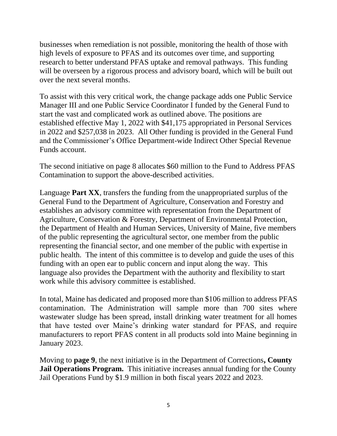businesses when remediation is not possible, monitoring the health of those with high levels of exposure to PFAS and its outcomes over time, and supporting research to better understand PFAS uptake and removal pathways. This funding will be overseen by a rigorous process and advisory board, which will be built out over the next several months.

To assist with this very critical work, the change package adds one Public Service Manager III and one Public Service Coordinator I funded by the General Fund to start the vast and complicated work as outlined above. The positions are established effective May 1, 2022 with \$41,175 appropriated in Personal Services in 2022 and \$257,038 in 2023. All Other funding is provided in the General Fund and the Commissioner's Office Department-wide Indirect Other Special Revenue Funds account.

The second initiative on page 8 allocates \$60 million to the Fund to Address PFAS Contamination to support the above-described activities.

Language **Part XX**, transfers the funding from the unappropriated surplus of the General Fund to the Department of Agriculture, Conservation and Forestry and establishes an advisory committee with representation from the Department of Agriculture, Conservation & Forestry, Department of Environmental Protection, the Department of Health and Human Services, University of Maine, five members of the public representing the agricultural sector, one member from the public representing the financial sector, and one member of the public with expertise in public health. The intent of this committee is to develop and guide the uses of this funding with an open ear to public concern and input along the way. This language also provides the Department with the authority and flexibility to start work while this advisory committee is established.

In total, Maine has dedicated and proposed more than \$106 million to address PFAS contamination. The Administration will sample more than 700 sites where wastewater sludge has been spread, install drinking water treatment for all homes that have tested over Maine's drinking water standard for PFAS, and require manufacturers to report PFAS content in all products sold into Maine beginning in January 2023.

Moving to **page 9**, the next initiative is in the Department of Corrections**, County Jail Operations Program.** This initiative increases annual funding for the County Jail Operations Fund by \$1.9 million in both fiscal years 2022 and 2023.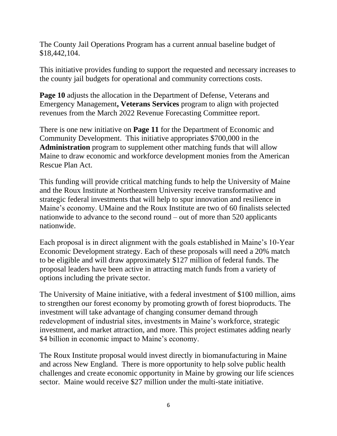The County Jail Operations Program has a current annual baseline budget of \$18,442,104.

This initiative provides funding to support the requested and necessary increases to the county jail budgets for operational and community corrections costs.

**Page 10** adjusts the allocation in the Department of Defense, Veterans and Emergency Management**, Veterans Services** program to align with projected revenues from the March 2022 Revenue Forecasting Committee report.

There is one new initiative on **Page 11** for the Department of Economic and Community Development. This initiative appropriates \$700,000 in the **Administration** program to supplement other matching funds that will allow Maine to draw economic and workforce development monies from the American Rescue Plan Act.

This funding will provide critical matching funds to help the University of Maine and the Roux Institute at Northeastern University receive transformative and strategic federal investments that will help to spur innovation and resilience in Maine's economy. UMaine and the Roux Institute are two of 60 finalists selected nationwide to advance to the second round – out of more than 520 applicants nationwide.

Each proposal is in direct alignment with the goals established in Maine's 10-Year Economic Development strategy. Each of these proposals will need a 20% match to be eligible and will draw approximately \$127 million of federal funds. The proposal leaders have been active in attracting match funds from a variety of options including the private sector.

The University of Maine initiative, with a federal investment of \$100 million, aims to strengthen our forest economy by promoting growth of forest bioproducts. The investment will take advantage of changing consumer demand through redevelopment of industrial sites, investments in Maine's workforce, strategic investment, and market attraction, and more. This project estimates adding nearly \$4 billion in economic impact to Maine's economy.

The Roux Institute proposal would invest directly in biomanufacturing in Maine and across New England. There is more opportunity to help solve public health challenges and create economic opportunity in Maine by growing our life sciences sector. Maine would receive \$27 million under the multi-state initiative.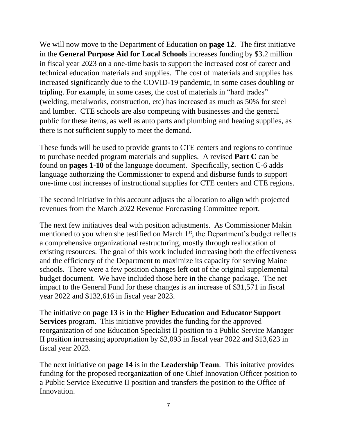We will now move to the Department of Education on **page 12**. The first initiative in the **General Purpose Aid for Local Schools** increases funding by \$3.2 million in fiscal year 2023 on a one-time basis to support the increased cost of career and technical education materials and supplies. The cost of materials and supplies has increased significantly due to the COVID-19 pandemic, in some cases doubling or tripling. For example, in some cases, the cost of materials in "hard trades" (welding, metalworks, construction, etc) has increased as much as 50% for steel and lumber. CTE schools are also competing with businesses and the general public for these items, as well as auto parts and plumbing and heating supplies, as there is not sufficient supply to meet the demand.

These funds will be used to provide grants to CTE centers and regions to continue to purchase needed program materials and supplies. A revised **Part C** can be found on **pages 1-10** of the language document. Specifically, section C-6 adds language authorizing the Commissioner to expend and disburse funds to support one-time cost increases of instructional supplies for CTE centers and CTE regions.

The second initiative in this account adjusts the allocation to align with projected revenues from the March 2022 Revenue Forecasting Committee report.

The next few initiatives deal with position adjustments. As Commissioner Makin mentioned to you when she testified on March  $1<sup>st</sup>$ , the Department's budget reflects a comprehensive organizational restructuring, mostly through reallocation of existing resources. The goal of this work included increasing both the effectiveness and the efficiency of the Department to maximize its capacity for serving Maine schools. There were a few position changes left out of the original supplemental budget document. We have included those here in the change package. The net impact to the General Fund for these changes is an increase of \$31,571 in fiscal year 2022 and \$132,616 in fiscal year 2023.

The initiative on **page 13** is in the **Higher Education and Educator Support Services** program. This initiative provides the funding for the approved reorganization of one Education Specialist II position to a Public Service Manager II position increasing appropriation by \$2,093 in fiscal year 2022 and \$13,623 in fiscal year 2023.

The next initiative on **page 14** is in the **Leadership Team**. This initative provides funding for the proposed reorganization of one Chief Innovation Officer position to a Public Service Executive II position and transfers the position to the Office of Innovation.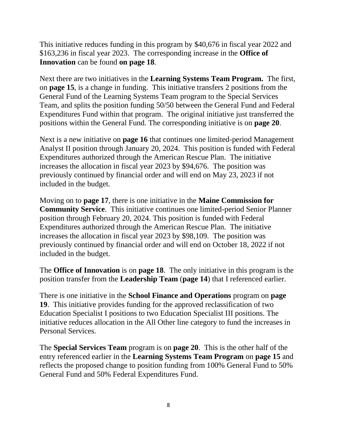This initiative reduces funding in this program by \$40,676 in fiscal year 2022 and \$163,236 in fiscal year 2023. The corresponding increase in the **Office of Innovation** can be found **on page 18**.

Next there are two initiatives in the **Learning Systems Team Program.** The first, on **page 15**, is a change in funding. This initiative transfers 2 positions from the General Fund of the Learning Systems Team program to the Special Services Team, and splits the position funding 50/50 between the General Fund and Federal Expenditures Fund within that program. The original initiative just transferred the positions within the General Fund. The corresponding initiative is on **page 20**.

Next is a new initiative on **page 16** that continues one limited-period Management Analyst II position through January 20, 2024. This position is funded with Federal Expenditures authorized through the American Rescue Plan. The initiative increases the allocation in fiscal year 2023 by \$94,676. The position was previously continued by financial order and will end on May 23, 2023 if not included in the budget.

Moving on to **page 17**, there is one initiative in the **Maine Commission for Community Service**. This initiative continues one limited-period Senior Planner position through February 20, 2024. This position is funded with Federal Expenditures authorized through the American Rescue Plan. The initiative increases the allocation in fiscal year 2023 by \$98,109. The position was previously continued by financial order and will end on October 18, 2022 if not included in the budget.

The **Office of Innovation** is on **page 18**. The only initiative in this program is the position transfer from the **Leadership Team** (**page 14**) that I referenced earlier.

There is one initiative in the **School Finance and Operations** program on **page 19**. This initiative provides funding for the approved reclassification of two Education Specialist I positions to two Education Specialist III positions. The initiative reduces allocation in the All Other line category to fund the increases in Personal Services.

The **Special Services Team** program is on **page 20**. This is the other half of the entry referenced earlier in the **Learning Systems Team Program** on **page 15** and reflects the proposed change to position funding from 100% General Fund to 50% General Fund and 50% Federal Expenditures Fund.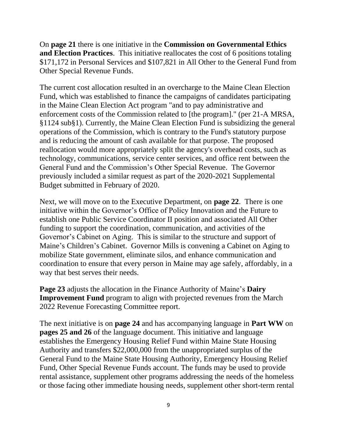On **page 21** there is one initiative in the **Commission on Governmental Ethics and Election Practices**. This initiative reallocates the cost of 6 positions totaling \$171,172 in Personal Services and \$107,821 in All Other to the General Fund from Other Special Revenue Funds.

The current cost allocation resulted in an overcharge to the Maine Clean Election Fund, which was established to finance the campaigns of candidates participating in the Maine Clean Election Act program "and to pay administrative and enforcement costs of the Commission related to [the program]." (per 21-A MRSA, §1124 sub§1). Currently, the Maine Clean Election Fund is subsidizing the general operations of the Commission, which is contrary to the Fund's statutory purpose and is reducing the amount of cash available for that purpose. The proposed reallocation would more appropriately split the agency's overhead costs, such as technology, communications, service center services, and office rent between the General Fund and the Commission's Other Special Revenue. The Governor previously included a similar request as part of the 2020-2021 Supplemental Budget submitted in February of 2020.

Next, we will move on to the Executive Department, on **page 22**. There is one initiative within the Governor's Office of Policy Innovation and the Future to establish one Public Service Coordinator II position and associated All Other funding to support the coordination, communication, and activities of the Governor's Cabinet on Aging. This is similar to the structure and support of Maine's Children's Cabinet. Governor Mills is convening a Cabinet on Aging to mobilize State government, eliminate silos, and enhance communication and coordination to ensure that every person in Maine may age safely, affordably, in a way that best serves their needs.

**Page 23** adjusts the allocation in the Finance Authority of Maine's **Dairy Improvement Fund** program to align with projected revenues from the March 2022 Revenue Forecasting Committee report.

The next initiative is on **page 24** and has accompanying language in **Part WW** on **pages 25 and 26** of the language document. This initiative and language establishes the Emergency Housing Relief Fund within Maine State Housing Authority and transfers \$22,000,000 from the unappropriated surplus of the General Fund to the Maine State Housing Authority, Emergency Housing Relief Fund, Other Special Revenue Funds account. The funds may be used to provide rental assistance, supplement other programs addressing the needs of the homeless or those facing other immediate housing needs, supplement other short-term rental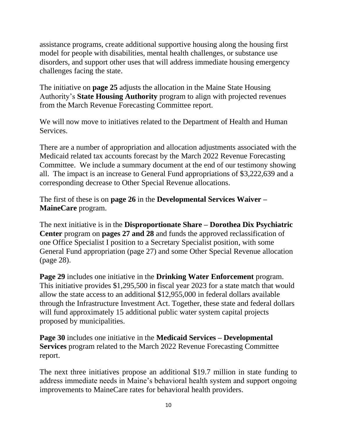assistance programs, create additional supportive housing along the housing first model for people with disabilities, mental health challenges, or substance use disorders, and support other uses that will address immediate housing emergency challenges facing the state.

The initiative on **page 25** adjusts the allocation in the Maine State Housing Authority's **State Housing Authority** program to align with projected revenues from the March Revenue Forecasting Committee report.

We will now move to initiatives related to the Department of Health and Human Services.

There are a number of appropriation and allocation adjustments associated with the Medicaid related tax accounts forecast by the March 2022 Revenue Forecasting Committee. We include a summary document at the end of our testimony showing all. The impact is an increase to General Fund appropriations of \$3,222,639 and a corresponding decrease to Other Special Revenue allocations.

The first of these is on **page 26** in the **Developmental Services Waiver – MaineCare** program.

The next initiative is in the **Disproportionate Share – Dorothea Dix Psychiatric Center** program on **pages 27 and 28** and funds the approved reclassification of one Office Specialist I position to a Secretary Specialist position, with some General Fund appropriation (page 27) and some Other Special Revenue allocation (page 28).

**Page 29** includes one initiative in the **Drinking Water Enforcement** program. This initiative provides \$1,295,500 in fiscal year 2023 for a state match that would allow the state access to an additional \$12,955,000 in federal dollars available through the Infrastructure Investment Act. Together, these state and federal dollars will fund approximately 15 additional public water system capital projects proposed by municipalities.

**Page 30** includes one initiative in the **Medicaid Services – Developmental Services** program related to the March 2022 Revenue Forecasting Committee report.

The next three initiatives propose an additional \$19.7 million in state funding to address immediate needs in Maine's behavioral health system and support ongoing improvements to MaineCare rates for behavioral health providers.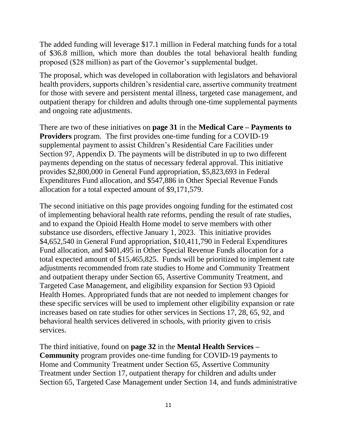The added funding will leverage \$17.1 million in Federal matching funds for a total of \$36.8 million, which more than doubles the total behavioral health funding proposed (\$28 million) as part of the Governor's supplemental budget.

The proposal, which was developed in collaboration with legislators and behavioral health providers, supports children's residential care, assertive community treatment for those with severe and persistent mental illness, targeted case management, and outpatient therapy for children and adults through one-time supplemental payments and ongoing rate adjustments.

There are two of these initiatives on **page 31** in the **Medical Care – Payments to Providers** program. The first provides one-time funding for a COVID-19 supplemental payment to assist Children's Residential Care Facilities under Section 97, Appendix D. The payments will be distributed in up to two different payments depending on the status of necessary federal approval. This initiative provides \$2,800,000 in General Fund appropriation, \$5,823,693 in Federal Expenditures Fund allocation, and \$547,886 in Other Special Revenue Funds allocation for a total expected amount of \$9,171,579.

The second initiative on this page provides ongoing funding for the estimated cost of implementing behavioral health rate reforms, pending the result of rate studies, and to expand the Opioid Health Home model to serve members with other substance use disorders, effective January 1, 2023. This initiative provides \$4,652,540 in General Fund appropriation, \$10,411,790 in Federal Expenditures Fund allocation, and \$401,495 in Other Special Revenue Funds allocation for a total expected amount of \$15,465,825. Funds will be prioritized to implement rate adjustments recommended from rate studies to Home and Community Treatment and outpatient therapy under Section 65, Assertive Community Treatment, and Targeted Case Management, and eligibility expansion for Section 93 Opioid Health Homes. Appropriated funds that are not needed to implement changes for these specific services will be used to implement other eligibility expansion or rate increases based on rate studies for other services in Sections 17, 28, 65, 92, and behavioral health services delivered in schools, with priority given to crisis services.

The third initiative, found on **page 32** in the **Mental Health Services – Community** program provides one-time funding for COVID-19 payments to Home and Community Treatment under Section 65, Assertive Community Treatment under Section 17, outpatient therapy for children and adults under Section 65, Targeted Case Management under Section 14, and funds administrative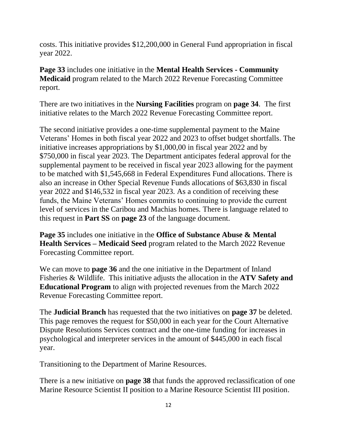costs. This initiative provides \$12,200,000 in General Fund appropriation in fiscal year 2022.

**Page 33** includes one initiative in the **Mental Health Services - Community Medicaid** program related to the March 2022 Revenue Forecasting Committee report.

There are two initiatives in the **Nursing Facilities** program on **page 34**. The first initiative relates to the March 2022 Revenue Forecasting Committee report.

The second initiative provides a one-time supplemental payment to the Maine Veterans' Homes in both fiscal year 2022 and 2023 to offset budget shortfalls. The initiative increases appropriations by \$1,000,00 in fiscal year 2022 and by \$750,000 in fiscal year 2023. The Department anticipates federal approval for the supplemental payment to be received in fiscal year 2023 allowing for the payment to be matched with \$1,545,668 in Federal Expenditures Fund allocations. There is also an increase in Other Special Revenue Funds allocations of \$63,830 in fiscal year 2022 and \$146,532 in fiscal year 2023. As a condition of receiving these funds, the Maine Veterans' Homes commits to continuing to provide the current level of services in the Caribou and Machias homes. There is language related to this request in **Part SS** on **page 23** of the language document.

**Page 35** includes one initiative in the **Office of Substance Abuse & Mental Health Services – Medicaid Seed** program related to the March 2022 Revenue Forecasting Committee report.

We can move to **page 36** and the one initiative in the Department of Inland Fisheries & Wildlife. This initiative adjusts the allocation in the **ATV Safety and Educational Program** to align with projected revenues from the March 2022 Revenue Forecasting Committee report.

The **Judicial Branch** has requested that the two initiatives on **page 37** be deleted. This page removes the request for \$50,000 in each year for the Court Alternative Dispute Resolutions Services contract and the one-time funding for increases in psychological and interpreter services in the amount of \$445,000 in each fiscal year.

Transitioning to the Department of Marine Resources.

There is a new initiative on **page 38** that funds the approved reclassification of one Marine Resource Scientist II position to a Marine Resource Scientist III position.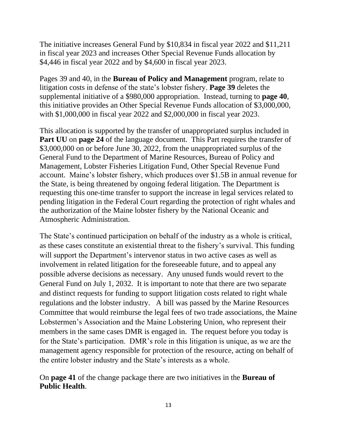The initiative increases General Fund by \$10,834 in fiscal year 2022 and \$11,211 in fiscal year 2023 and increases Other Special Revenue Funds allocation by \$4,446 in fiscal year 2022 and by \$4,600 in fiscal year 2023.

Pages 39 and 40, in the **Bureau of Policy and Management** program, relate to litigation costs in defense of the state's lobster fishery. **Page 39** deletes the supplemental initiative of a \$980,000 appropriation. Instead, turning to **page 40**, this initiative provides an Other Special Revenue Funds allocation of \$3,000,000, with \$1,000,000 in fiscal year 2022 and \$2,000,000 in fiscal year 2023.

This allocation is supported by the transfer of unappropriated surplus included in **Part UU** on **page 24** of the language document. This Part requires the transfer of \$3,000,000 on or before June 30, 2022, from the unappropriated surplus of the General Fund to the Department of Marine Resources, Bureau of Policy and Management, Lobster Fisheries Litigation Fund, Other Special Revenue Fund account. Maine's lobster fishery, which produces over \$1.5B in annual revenue for the State, is being threatened by ongoing federal litigation. The Department is requesting this one-time transfer to support the increase in legal services related to pending litigation in the Federal Court regarding the protection of right whales and the authorization of the Maine lobster fishery by the National Oceanic and Atmospheric Administration.

The State's continued participation on behalf of the industry as a whole is critical, as these cases constitute an existential threat to the fishery's survival. This funding will support the Department's intervenor status in two active cases as well as involvement in related litigation for the foreseeable future, and to appeal any possible adverse decisions as necessary. Any unused funds would revert to the General Fund on July 1, 2032. It is important to note that there are two separate and distinct requests for funding to support litigation costs related to right whale regulations and the lobster industry. A bill was passed by the Marine Resources Committee that would reimburse the legal fees of two trade associations, the Maine Lobstermen's Association and the Maine Lobstering Union, who represent their members in the same cases DMR is engaged in. The request before you today is for the State's participation. DMR's role in this litigation is unique, as we are the management agency responsible for protection of the resource, acting on behalf of the entire lobster industry and the State's interests as a whole.

On **page 41** of the change package there are two initiatives in the **Bureau of Public Health**.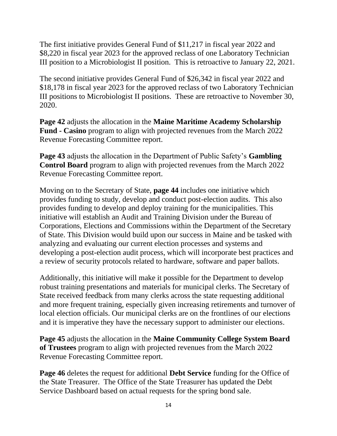The first initiative provides General Fund of \$11,217 in fiscal year 2022 and \$8,220 in fiscal year 2023 for the approved reclass of one Laboratory Technician III position to a Microbiologist II position. This is retroactive to January 22, 2021.

The second initiative provides General Fund of \$26,342 in fiscal year 2022 and \$18,178 in fiscal year 2023 for the approved reclass of two Laboratory Technician III positions to Microbiologist II positions. These are retroactive to November 30, 2020.

**Page 42** adjusts the allocation in the **Maine Maritime Academy Scholarship Fund - Casino** program to align with projected revenues from the March 2022 Revenue Forecasting Committee report.

**Page 43** adjusts the allocation in the Department of Public Safety's **Gambling Control Board** program to align with projected revenues from the March 2022 Revenue Forecasting Committee report.

Moving on to the Secretary of State, **page 44** includes one initiative which provides funding to study, develop and conduct post-election audits. This also provides funding to develop and deploy training for the municipalities. This initiative will establish an Audit and Training Division under the Bureau of Corporations, Elections and Commissions within the Department of the Secretary of State. This Division would build upon our success in Maine and be tasked with analyzing and evaluating our current election processes and systems and developing a post-election audit process, which will incorporate best practices and a review of security protocols related to hardware, software and paper ballots.

Additionally, this initiative will make it possible for the Department to develop robust training presentations and materials for municipal clerks. The Secretary of State received feedback from many clerks across the state requesting additional and more frequent training, especially given increasing retirements and turnover of local election officials. Our municipal clerks are on the frontlines of our elections and it is imperative they have the necessary support to administer our elections.

**Page 45** adjusts the allocation in the **Maine Community College System Board of Trustees** program to align with projected revenues from the March 2022 Revenue Forecasting Committee report.

**Page 46** deletes the request for additional **Debt Service** funding for the Office of the State Treasurer. The Office of the State Treasurer has updated the Debt Service Dashboard based on actual requests for the spring bond sale.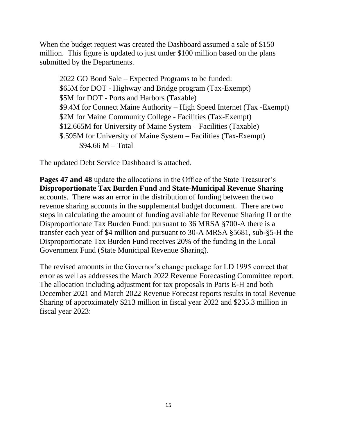When the budget request was created the Dashboard assumed a sale of \$150 million. This figure is updated to just under \$100 million based on the plans submitted by the Departments.

2022 GO Bond Sale – Expected Programs to be funded: \$65M for DOT - Highway and Bridge program (Tax-Exempt) \$5M for DOT - Ports and Harbors (Taxable) \$9.4M for Connect Maine Authority – High Speed Internet (Tax -Exempt) \$2M for Maine Community College - Facilities (Tax-Exempt) \$12.665M for University of Maine System – Facilities (Taxable) \$.595M for University of Maine System – Facilities (Tax-Exempt) \$94.66 M – Total

The updated Debt Service Dashboard is attached.

**Pages 47 and 48** update the allocations in the Office of the State Treasurer's **Disproportionate Tax Burden Fund** and **State-Municipal Revenue Sharing** accounts. There was an error in the distribution of funding between the two revenue sharing accounts in the supplemental budget document. There are two steps in calculating the amount of funding available for Revenue Sharing II or the Disproportionate Tax Burden Fund: pursuant to 36 MRSA §700-A there is a transfer each year of \$4 million and pursuant to 30-A MRSA §5681, sub-§5-H the Disproportionate Tax Burden Fund receives 20% of the funding in the Local Government Fund (State Municipal Revenue Sharing).

The revised amounts in the Governor's change package for LD 1995 correct that error as well as addresses the March 2022 Revenue Forecasting Committee report. The allocation including adjustment for tax proposals in Parts E-H and both December 2021 and March 2022 Revenue Forecast reports results in total Revenue Sharing of approximately \$213 million in fiscal year 2022 and \$235.3 million in fiscal year 2023: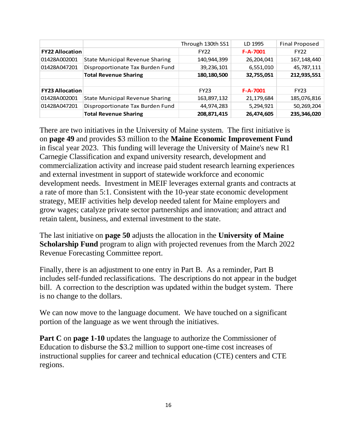|                        |                                        | Through 130th SS1 | LD 1995        | <b>Final Proposed</b> |
|------------------------|----------------------------------------|-------------------|----------------|-----------------------|
| <b>FY22 Allocation</b> |                                        | <b>FY22</b>       | $F - A - 7001$ | <b>FY22</b>           |
| 01428A002001           | <b>State Municipal Revenue Sharing</b> | 140,944,399       | 26,204,041     | 167, 148, 440         |
| 01428A047201           | Disproportionate Tax Burden Fund       | 39,236,101        | 6,551,010      | 45,787,111            |
|                        | <b>Total Revenue Sharing</b>           | 180,180,500       | 32,755,051     | 212,935,551           |
|                        |                                        |                   |                |                       |
| <b>FY23 Allocation</b> |                                        | <b>FY23</b>       | $F-A-7001$     | <b>FY23</b>           |
| 01428A002001           | <b>State Municipal Revenue Sharing</b> | 163,897,132       | 21,179,684     | 185,076,816           |
| 01428A047201           | Disproportionate Tax Burden Fund       | 44,974,283        | 5,294,921      | 50,269,204            |
|                        | <b>Total Revenue Sharing</b>           | 208,871,415       | 26,474,605     | 235,346,020           |

There are two initiatives in the University of Maine system. The first initiative is on **page 49** and provides \$3 million to the **Maine Economic Improvement Fund** in fiscal year 2023. This funding will leverage the University of Maine's new R1 Carnegie Classification and expand university research, development and commercialization activity and increase paid student research learning experiences and external investment in support of statewide workforce and economic development needs. Investment in MEIF leverages external grants and contracts at a rate of more than 5:1. Consistent with the 10-year state economic development strategy, MEIF activities help develop needed talent for Maine employers and grow wages; catalyze private sector partnerships and innovation; and attract and retain talent, business, and external investment to the state.

The last initiative on **page 50** adjusts the allocation in the **University of Maine Scholarship Fund** program to align with projected revenues from the March 2022 Revenue Forecasting Committee report.

Finally, there is an adjustment to one entry in Part B. As a reminder, Part B includes self-funded reclassifications. The descriptions do not appear in the budget bill. A correction to the description was updated within the budget system. There is no change to the dollars.

We can now move to the language document. We have touched on a significant portion of the language as we went through the initiatives.

**Part C** on **page 1-10** updates the language to authorize the Commissioner of Education to disburse the \$3.2 million to support one-time cost increases of instructional supplies for career and technical education (CTE) centers and CTE regions.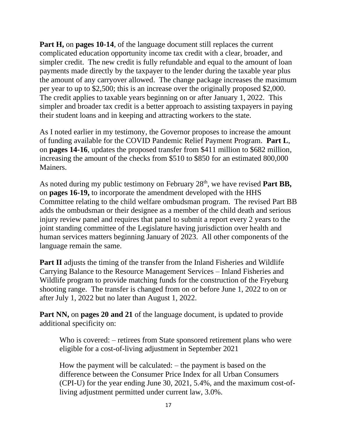**Part H,** on **pages 10-14**, of the language document still replaces the current complicated education opportunity income tax credit with a clear, broader, and simpler credit. The new credit is fully refundable and equal to the amount of loan payments made directly by the taxpayer to the lender during the taxable year plus the amount of any carryover allowed. The change package increases the maximum per year to up to \$2,500; this is an increase over the originally proposed \$2,000. The credit applies to taxable years beginning on or after January 1, 2022. This simpler and broader tax credit is a better approach to assisting taxpayers in paying their student loans and in keeping and attracting workers to the state.

As I noted earlier in my testimony, the Governor proposes to increase the amount of funding available for the COVID Pandemic Relief Payment Program. **Part L**, on **pages 14-16**, updates the proposed transfer from \$411 million to \$682 million, increasing the amount of the checks from \$510 to \$850 for an estimated 800,000 Mainers.

As noted during my public testimony on February 28<sup>th</sup>, we have revised **Part BB**, on **pages 16-19,** to incorporate the amendment developed with the HHS Committee relating to the child welfare ombudsman program. The revised Part BB adds the ombudsman or their designee as a member of the child death and serious injury review panel and requires that panel to submit a report every 2 years to the joint standing committee of the Legislature having jurisdiction over health and human services matters beginning January of 2023. All other components of the language remain the same.

**Part II** adjusts the timing of the transfer from the Inland Fisheries and Wildlife Carrying Balance to the Resource Management Services – Inland Fisheries and Wildlife program to provide matching funds for the construction of the Fryeburg shooting range. The transfer is changed from on or before June 1, 2022 to on or after July 1, 2022 but no later than August 1, 2022.

**Part NN,** on **pages 20 and 21** of the language document, is updated to provide additional specificity on:

Who is covered: – retirees from State sponsored retirement plans who were eligible for a cost-of-living adjustment in September 2021

How the payment will be calculated: – the payment is based on the difference between the Consumer Price Index for all Urban Consumers (CPI-U) for the year ending June 30, 2021, 5.4%, and the maximum cost-ofliving adjustment permitted under current law, 3.0%.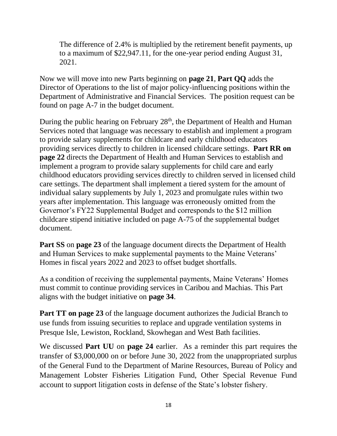The difference of 2.4% is multiplied by the retirement benefit payments, up to a maximum of \$22,947.11, for the one-year period ending August 31, 2021.

Now we will move into new Parts beginning on **page 21**, **Part QQ** adds the Director of Operations to the list of major policy-influencing positions within the Department of Administrative and Financial Services. The position request can be found on page A-7 in the budget document.

During the public hearing on February 28<sup>th</sup>, the Department of Health and Human Services noted that language was necessary to establish and implement a program to provide salary supplements for childcare and early childhood educators providing services directly to children in licensed childcare settings. **Part RR on page 22** directs the Department of Health and Human Services to establish and implement a program to provide salary supplements for child care and early childhood educators providing services directly to children served in licensed child care settings. The department shall implement a tiered system for the amount of individual salary supplements by July 1, 2023 and promulgate rules within two years after implementation. This language was erroneously omitted from the Governor's FY22 Supplemental Budget and corresponds to the \$12 million childcare stipend initiative included on page A-75 of the supplemental budget document.

**Part SS** on **page 23** of the language document directs the Department of Health and Human Services to make supplemental payments to the Maine Veterans' Homes in fiscal years 2022 and 2023 to offset budget shortfalls.

As a condition of receiving the supplemental payments, Maine Veterans' Homes must commit to continue providing services in Caribou and Machias. This Part aligns with the budget initiative on **page 34**.

**Part TT** on page 23 of the language document authorizes the Judicial Branch to use funds from issuing securities to replace and upgrade ventilation systems in Presque Isle, Lewiston, Rockland, Skowhegan and West Bath facilities.

We discussed **Part UU** on **page 24** earlier. As a reminder this part requires the transfer of \$3,000,000 on or before June 30, 2022 from the unappropriated surplus of the General Fund to the Department of Marine Resources, Bureau of Policy and Management Lobster Fisheries Litigation Fund, Other Special Revenue Fund account to support litigation costs in defense of the State's lobster fishery.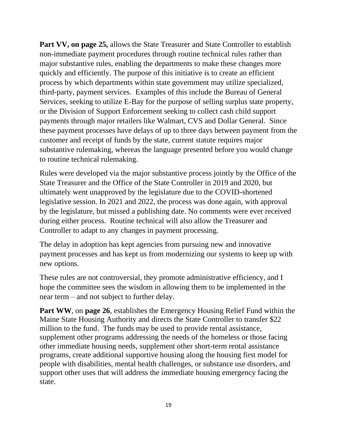**Part VV, on page 25,** allows the State Treasurer and State Controller to establish non-immediate payment procedures through routine technical rules rather than major substantive rules, enabling the departments to make these changes more quickly and efficiently. The purpose of this initiative is to create an efficient process by which departments within state government may utilize specialized, third-party, payment services. Examples of this include the Bureau of General Services, seeking to utilize E-Bay for the purpose of selling surplus state property, or the Division of Support Enforcement seeking to collect cash child support payments through major retailers like Walmart, CVS and Dollar General. Since these payment processes have delays of up to three days between payment from the customer and receipt of funds by the state, current statute requires major substantive rulemaking, whereas the language presented before you would change to routine technical rulemaking.

Rules were developed via the major substantive process jointly by the Office of the State Treasurer and the Office of the State Controller in 2019 and 2020, but ultimately went unapproved by the legislature due to the COVID-shortened legislative session. In 2021 and 2022, the process was done again, with approval by the legislature, but missed a publishing date. No comments were ever received during either process. Routine technical will also allow the Treasurer and Controller to adapt to any changes in payment processing.

The delay in adoption has kept agencies from pursuing new and innovative payment processes and has kept us from modernizing our systems to keep up with new options.

These rules are not controversial, they promote administrative efficiency, and I hope the committee sees the wisdom in allowing them to be implemented in the near term – and not subject to further delay.

**Part WW**, on **page 26**, establishes the Emergency Housing Relief Fund within the Maine State Housing Authority and directs the State Controller to transfer \$22 million to the fund. The funds may be used to provide rental assistance, supplement other programs addressing the needs of the homeless or those facing other immediate housing needs, supplement other short-term rental assistance programs, create additional supportive housing along the housing first model for people with disabilities, mental health challenges, or substance use disorders, and support other uses that will address the immediate housing emergency facing the state.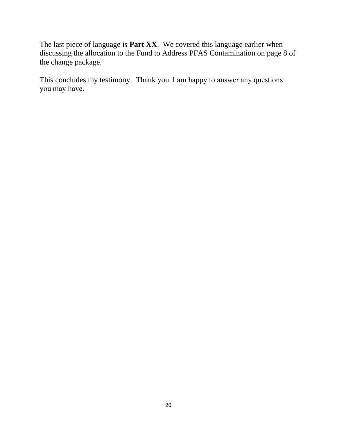The last piece of language is **Part XX**. We covered this language earlier when discussing the allocation to the Fund to Address PFAS Contamination on page 8 of the change package.

This concludes my testimony. Thank you. I am happy to answer any questions you may have.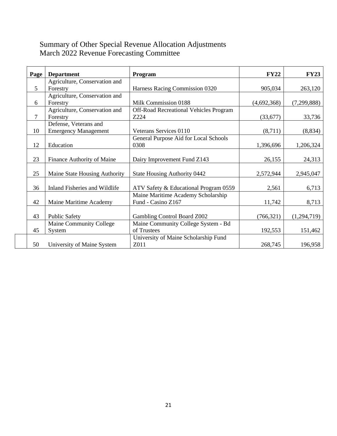# Summary of Other Special Revenue Allocation Adjustments March 2022 Revenue Forecasting Committee

| Page           | <b>Department</b>             | <b>Program</b>                                | <b>FY22</b> | <b>FY23</b> |
|----------------|-------------------------------|-----------------------------------------------|-------------|-------------|
|                | Agriculture, Conservation and |                                               |             |             |
| $\mathfrak{S}$ | Forestry                      | Harness Racing Commission 0320                | 905,034     | 263,120     |
|                | Agriculture, Conservation and |                                               |             |             |
| 6              | Forestry                      | Milk Commission 0188                          | (4,692,368) | (7,299,888) |
|                | Agriculture, Conservation and | <b>Off-Road Recreational Vehicles Program</b> |             |             |
| 7              | Forestry                      | Z224                                          | (33,677)    | 33,736      |
|                | Defense, Veterans and         |                                               |             |             |
| 10             | <b>Emergency Management</b>   | Veterans Services 0110                        | (8,711)     | (8, 834)    |
|                |                               | General Purpose Aid for Local Schools         |             |             |
| 12             | Education                     | 0308                                          | 1,396,696   | 1,206,324   |
|                |                               |                                               |             |             |
| 23             | Finance Authority of Maine    | Dairy Improvement Fund Z143                   | 26,155      | 24,313      |
|                |                               |                                               |             |             |
| 25             | Maine State Housing Authority | State Housing Authority 0442                  | 2,572,944   | 2,945,047   |
|                |                               |                                               |             |             |
| 36             | Inland Fisheries and Wildlife | ATV Safety & Educational Program 0559         | 2,561       | 6,713       |
|                |                               | Maine Maritime Academy Scholarship            |             |             |
| 42             | Maine Maritime Academy        | Fund - Casino Z167                            | 11,742      | 8,713       |
|                |                               |                                               |             |             |
| 43             | <b>Public Safety</b>          | Gambling Control Board Z002                   | (766, 321)  | (1,294,719) |
|                | Maine Community College       | Maine Community College System - Bd           |             |             |
| 45             | System                        | of Trustees                                   | 192,553     | 151,462     |
|                |                               | University of Maine Scholarship Fund          |             |             |
| 50             | University of Maine System    | Z011                                          | 268,745     | 196,958     |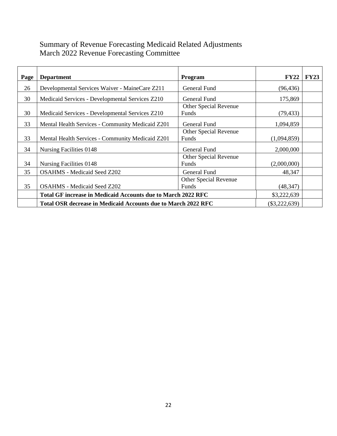# Summary of Revenue Forecasting Medicaid Related Adjustments March 2022 Revenue Forecasting Committee

| Page | <b>Department</b>                                                   | <b>Program</b>        | <b>FY22</b> | FY23 |
|------|---------------------------------------------------------------------|-----------------------|-------------|------|
| 26   | Developmental Services Waiver - MaineCare Z211                      | General Fund          | (96, 436)   |      |
| 30   | Medicaid Services - Developmental Services Z210                     | General Fund          | 175,869     |      |
|      |                                                                     | Other Special Revenue |             |      |
| 30   | Medicaid Services - Developmental Services Z210                     | Funds                 | (79, 433)   |      |
| 33   | <b>Mental Health Services - Community Medicaid Z201</b>             | <b>General Fund</b>   | 1,094,859   |      |
|      |                                                                     | Other Special Revenue |             |      |
| 33   | Mental Health Services - Community Medicaid Z201                    | Funds                 | (1,094,859) |      |
| 34   | Nursing Facilities 0148                                             | General Fund          | 2,000,000   |      |
|      |                                                                     | Other Special Revenue |             |      |
| 34   | Nursing Facilities 0148                                             | Funds                 | (2,000,000) |      |
| 35   | <b>OSAHMS</b> - Medicaid Seed Z202                                  | General Fund          | 48,347      |      |
|      |                                                                     | Other Special Revenue |             |      |
| 35   | <b>OSAHMS</b> - Medicaid Seed Z202                                  | Funds                 | (48, 347)   |      |
|      | <b>Total GF increase in Medicaid Accounts due to March 2022 RFC</b> |                       |             |      |
|      | Total OSR decrease in Medicaid Accounts due to March 2022 RFC       | $(\$3,222,639)$       |             |      |